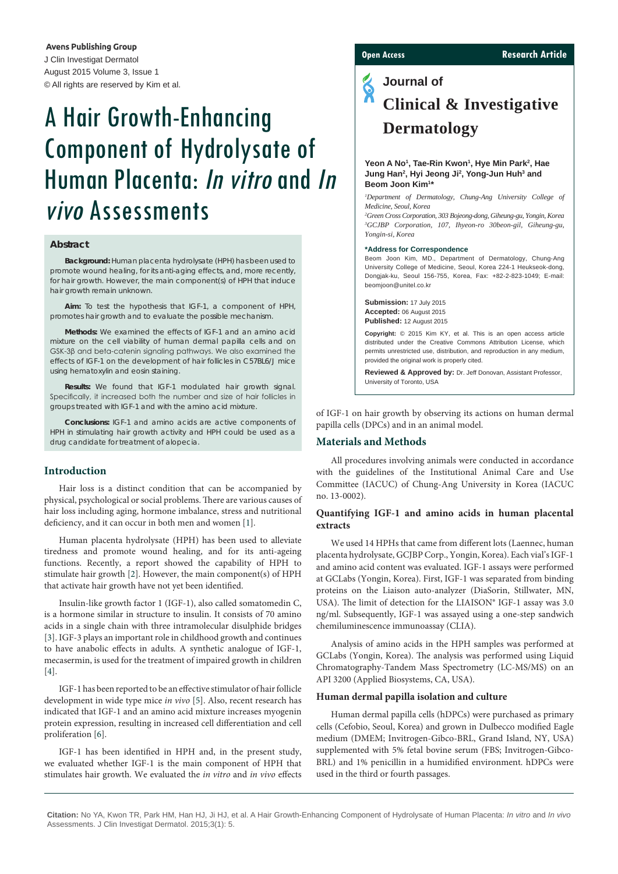**Avens Publishing Group** J Clin Investigat Dermatol August 2015 Volume 3, Issue 1 © All rights are reserved by Kim et al.

# A Hair Growth-Enhancing Component of Hydrolysate of Human Placenta: In vitro and In vivo Assessments

#### **Abstract**

**Background:** Human placenta hydrolysate (HPH) has been used to promote wound healing, for its anti-aging effects, and, more recently, for hair growth. However, the main component(s) of HPH that induce hair growth remain unknown.

**Aim:** To test the hypothesis that IGF-1, a component of HPH, promotes hair growth and to evaluate the possible mechanism.

**Methods:** We examined the effects of IGF-1 and an amino acid mixture on the cell viability of human dermal papilla cells and on GSK-3β and beta-catenin signaling pathways. We also examined the effects of IGF-1 on the development of hair follicles in C57BL6/J mice using hematoxylin and eosin staining.

**Results:** We found that IGF-1 modulated hair growth signal. Specifically, it increased both the number and size of hair follicles in groups treated with IGF-1 and with the amino acid mixture.

**Conclusions:** IGF-1 and amino acids are active components of HPH in stimulating hair growth activity and HPH could be used as a drug candidate for treatment of alopecia.

### **Introduction**

Hair loss is a distinct condition that can be accompanied by physical, psychological or social problems. There are various causes of hair loss including aging, hormone imbalance, stress and nutritional deficiency, and it can occur in both men and women [[1](#page-3-0)].

Human placenta hydrolysate (HPH) has been used to alleviate tiredness and promote wound healing, and for its anti-ageing functions. Recently, a report showed the capability of HPH to stimulate hair growth [[2](#page-3-1)]. However, the main component(s) of HPH that activate hair growth have not yet been identified.

Insulin-like growth factor 1 (IGF-1), also called somatomedin C, is a hormone similar in structure to insulin. It consists of 70 amino acids in a single chain with three intramolecular disulphide bridges [[3\]](#page-3-2). IGF-3 plays an important role in childhood growth and continues to have anabolic effects in adults. A synthetic analogue of IGF-1, mecasermin, is used for the treatment of impaired growth in children [[4\]](#page-4-0).

IGF-1 has been reported to be an effective stimulator of hair follicle development in wide type mice *in vivo* [\[5\]](#page-4-1). Also, recent research has indicated that IGF-1 and an amino acid mixture increases myogenin protein expression, resulting in increased cell differentiation and cell proliferation [\[6\]](#page-4-2).

IGF-1 has been identified in HPH and, in the present study, we evaluated whether IGF-1 is the main component of HPH that stimulates hair growth. We evaluated the *in vitro* and *in vivo* effects

#### **Open Access Research Article**

## **Journal of Clinical & Investigative Dermatology**

#### Yeon A No<sup>1</sup>, Tae-Rin Kwon<sup>1</sup>, Hye Min Park<sup>2</sup>, Hae Jung Han<sup>2</sup>, Hyi Jeong Ji<sup>2</sup>, Yong-Jun Huh<sup>3</sup> and **Beom Joon Kim1 \***

<sup>1</sup>Department of Dermatology, Chung-Ang University College of *Medicine, Seoul, Korea* 

*2 Green Cross Corporation, 303 Bojeong-dong, Giheung-gu, Yongin, Korea 3 GCJBP Corporation, 107, Ihyeon-ro 30beon-gil, Giheung-gu, Yongin-si, Korea*

#### **\*Address for Correspondence**

Beom Joon Kim, MD., Department of Dermatology, Chung-Ang University College of Medicine, Seoul, Korea 224-1 Heukseok-dong, Dongjak-ku, Seoul 156-755, Korea, Fax: +82-2-823-1049; E-mail: beomjoon@unitel.co.kr

**Submission:** 17 July 2015 **Accepted:** 06 August 2015 **Published:** 12 August 2015

**Copyright:** © 2015 Kim KY, et al. This is an open access article distributed under the Creative Commons Attribution License, which permits unrestricted use, distribution, and reproduction in any medium, provided the original work is properly cited.

**Reviewed & Approved by:** Dr. Jeff Donovan, Assistant Professor, University of Toronto, USA

of IGF-1 on hair growth by observing its actions on human dermal papilla cells (DPCs) and in an animal model.

#### **Materials and Methods**

All procedures involving animals were conducted in accordance with the guidelines of the Institutional Animal Care and Use Committee (IACUC) of Chung-Ang University in Korea (IACUC no. 13-0002).

#### **Quantifying IGF-1 and amino acids in human placental extracts**

We used 14 HPHs that came from different lots (Laennec, human placenta hydrolysate, GCJBP Corp., Yongin, Korea). Each vial's IGF-1 and amino acid content was evaluated. IGF-1 assays were performed at GCLabs (Yongin, Korea). First, IGF-1 was separated from binding proteins on the Liaison auto-analyzer (DiaSorin, Stillwater, MN, USA). The limit of detection for the LIAISON® IGF-1 assay was 3.0 ng/ml. Subsequently, IGF-1 was assayed using a one-step sandwich chemiluminescence immunoassay (CLIA).

Analysis of amino acids in the HPH samples was performed at GCLabs (Yongin, Korea). The analysis was performed using Liquid Chromatography-Tandem Mass Spectrometry (LC-MS/MS) on an API 3200 (Applied Biosystems, CA, USA).

#### **Human dermal papilla isolation and culture**

Human dermal papilla cells (hDPCs) were purchased as primary cells (Cefobio, Seoul, Korea) and grown in Dulbecco modified Eagle medium (DMEM; Invitrogen-Gibco-BRL, Grand Island, NY, USA) supplemented with 5% fetal bovine serum (FBS; Invitrogen-Gibco-BRL) and 1% penicillin in a humidified environment. hDPCs were used in the third or fourth passages.

**Citation:** No YA, Kwon TR, Park HM, Han HJ, Ji HJ, et al. A Hair Growth-Enhancing Component of Hydrolysate of Human Placenta: *In vitro* and *In vivo* Assessments. J Clin Investigat Dermatol. 2015;3(1): 5.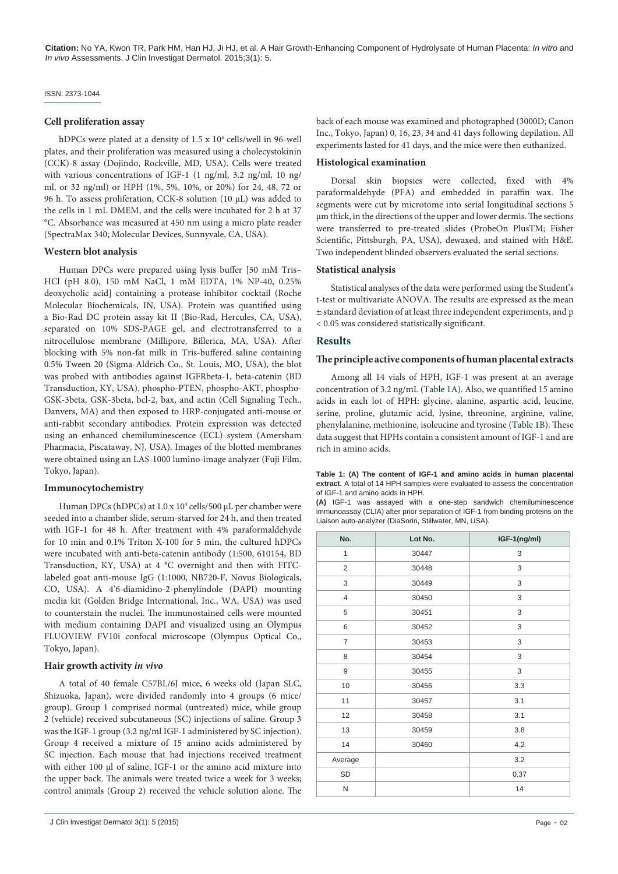#### ISSN: 2373-1044

#### **Cell proliferation assay**

hDPCs were plated at a density of 1.5 x 10<sup>4</sup> cells/well in 96-well plates, and their proliferation was measured using a cholecystokinin (CCK)-8 assay (Dojindo, Rockville, MD, USA). Cells were treated with various concentrations of IGF-1 (1 ng/ml, 3.2 ng/ml, 10 ng/ ml, or 32 ng/ml) or HPH (1%, 5%, 10%, or 20%) for 24, 48, 72 or 96 h. To assess proliferation, CCK-8 solution (10 μL) was added to the cells in 1 mL DMEM, and the cells were incubated for 2 h at 37 °C. Absorbance was measured at 450 nm using a micro plate reader (SpectraMax 340; Molecular Devices, Sunnyvale, CA, USA).

#### **Western blot analysis**

Human DPCs were prepared using lysis buffer [50 mM Tris– HCl (pH 8.0), 150 mM NaCl, 1 mM EDTA, 1% NP-40, 0.25% deoxycholic acid] containing a protease inhibitor cocktail (Roche Molecular Biochemicals, IN, USA). Protein was quantified using a Bio-Rad DC protein assay kit II (Bio-Rad, Hercules, CA, USA), separated on 10% SDS-PAGE gel, and electrotransferred to a nitrocellulose membrane (Millipore, Billerica, MA, USA). After blocking with 5% non-fat milk in Tris-buffered saline containing 0.5% Tween 20 (Sigma-Aldrich Co., St. Louis, MO, USA), the blot was probed with antibodies against IGFRbeta-1, beta-catenin (BD Transduction, KY, USA), phospho-PTEN, phospho-AKT, phospho-GSK-3beta, GSK-3beta, bcl-2, bax, and actin (Cell Signaling Tech., Danvers, MA) and then exposed to HRP-conjugated anti-mouse or anti-rabbit secondary antibodies. Protein expression was detected using an enhanced chemiluminescence (ECL) system (Amersham Pharmacia, Piscataway, NJ, USA). Images of the blotted membranes were obtained using an LAS-1000 lumino-image analyzer (Fuji Film, Tokyo, Japan).

#### **Immunocytochemistry**

Human DPCs (hDPCs) at 1.0 x 10<sup>4</sup> cells/500 μL per chamber were seeded into a chamber slide, serum-starved for 24 h, and then treated with IGF-1 for 48 h. After treatment with 4% paraformaldehyde for 10 min and 0.1% Triton X-100 for 5 min, the cultured hDPCs were incubated with anti-beta-catenin antibody (1:500, 610154, BD Transduction, KY, USA) at 4 °C overnight and then with FITClabeled goat anti-mouse IgG (1:1000, NB720-F, Novus Biologicals, CO, USA). A 4'6-diamidino-2-phenylindole (DAPI) mounting media kit (Golden Bridge International, Inc., WA, USA) was used to counterstain the nuclei. The immunostained cells were mounted with medium containing DAPI and visualized using an Olympus FLUOVIEW FV10i confocal microscope (Olympus Optical Co., Tokyo, Japan).

#### **Hair growth activity** *in vivo*

A total of 40 female C57BL/6J mice, 6 weeks old (Japan SLC, Shizuoka, Japan), were divided randomly into 4 groups (6 mice/ group). Group 1 comprised normal (untreated) mice, while group 2 (vehicle) received subcutaneous (SC) injections of saline. Group 3 was the IGF-1 group (3.2 ng/ml IGF-1 administered by SC injection). Group 4 received a mixture of 15 amino acids administered by SC injection. Each mouse that had injections received treatment with either 100 μl of saline, IGF-1 or the amino acid mixture into the upper back. The animals were treated twice a week for 3 weeks; control animals (Group 2) received the vehicle solution alone. The back of each mouse was examined and photographed (3000D; Canon Inc., Tokyo, Japan) 0, 16, 23, 34 and 41 days following depilation. All experiments lasted for 41 days, and the mice were then euthanized.

#### **Histological examination**

Dorsal skin biopsies were collected, fixed with 4% paraformaldehyde (PFA) and embedded in paraffin wax. The segments were cut by microtome into serial longitudinal sections 5 μm thick, in the directions of the upper and lower dermis. The sections were transferred to pre-treated slides (ProbeOn PlusTM; Fisher Scientific, Pittsburgh, PA, USA), dewaxed, and stained with H&E. Two independent blinded observers evaluated the serial sections.

#### **Statistical analysis**

Statistical analyses of the data were performed using the Student's t-test or multivariate ANOVA. The results are expressed as the mean ± standard deviation of at least three independent experiments, and p < 0.05 was considered statistically significant.

#### **Results**

#### **The principle active components of human placental extracts**

Among all 14 vials of HPH, IGF-1 was present at an average concentration of 3.2 ng/mL [\(Table 1A\)](#page-1-0). Also, we quantified 15 amino acids in each lot of HPH: glycine, alanine, aspartic acid, leucine, serine, proline, glutamic acid, lysine, threonine, arginine, valine, phenylalanine, methionine, isoleucine and tyrosine [\(Table 1B](#page-2-0)). These data suggest that HPHs contain a consistent amount of IGF-1 and are rich in amino acids.

<span id="page-1-0"></span>**Table 1: (A) The content of IGF-1 and amino acids in human placental extract.** A total of 14 HPH samples were evaluated to assess the concentration of IGF-1 and amino acids in HPH.

**(A)** IGF-1 was assayed with a one-step sandwich chemiluminescence immunoassay (CLIA) after prior separation of IGF-1 from binding proteins on the Liaison auto-analyzer (DiaSorin, Stillwater, MN, USA).

| No.            | Lot No. | IGF-1(ng/ml) |
|----------------|---------|--------------|
| $\mathbf{1}$   | 30447   | 3            |
| $\overline{2}$ | 30448   | 3            |
| 3              | 30449   | 3            |
| $\overline{4}$ | 30450   | 3            |
| 5              | 30451   | 3            |
| 6              | 30452   | 3            |
| $\overline{7}$ | 30453   | 3            |
| 8              | 30454   | 3            |
| 9              | 30455   | 3            |
| 10             | 30456   | 3.3          |
| 11             | 30457   | 3.1          |
| 12             | 30458   | 3.1          |
| 13             | 30459   | 3.8          |
| 14             | 30460   | 4.2          |
| Average        |         | 3.2          |
| SD             |         | 0.37         |
| N              |         | 14           |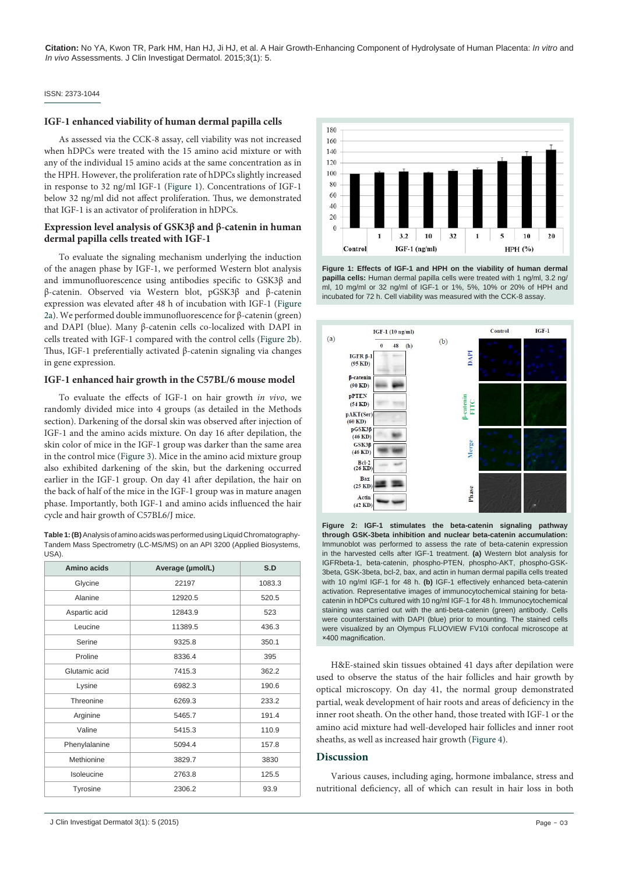#### ISSN: 2373-1044

#### **IGF-1 enhanced viability of human dermal papilla cells**

As assessed via the CCK-8 assay, cell viability was not increased when hDPCs were treated with the 15 amino acid mixture or with any of the individual 15 amino acids at the same concentration as in the HPH. However, the proliferation rate of hDPCs slightly increased in response to 32 ng/ml IGF-1 [\(Figure 1\)](#page-2-1). Concentrations of IGF-1 below 32 ng/ml did not affect proliferation. Thus, we demonstrated that IGF-1 is an activator of proliferation in hDPCs.

#### **Expression level analysis of GSK3β and β-catenin in human dermal papilla cells treated with IGF-1**

To evaluate the signaling mechanism underlying the induction of the anagen phase by IGF-1, we performed Western blot analysis and immunofluorescence using antibodies specific to GSK3β and β-catenin. Observed via Western blot, pGSK3β and β-catenin expression was elevated after 48 h of incubation with IGF-1 [\(Figure](#page-2-2)  [2a\)](#page-2-2). We performed double immunofluorescence for β-catenin (green) and DAPI (blue). Many β-catenin cells co-localized with DAPI in cells treated with IGF-1 compared with the control cells ([Figure 2b](#page-2-2)). Thus, IGF-1 preferentially activated β-catenin signaling via changes in gene expression.

#### **IGF-1 enhanced hair growth in the C57BL/6 mouse model**

To evaluate the effects of IGF-1 on hair growth *in vivo*, we randomly divided mice into 4 groups (as detailed in the Methods section). Darkening of the dorsal skin was observed after injection of IGF-1 and the amino acids mixture. On day 16 after depilation, the skin color of mice in the IGF-1 group was darker than the same area in the control mice [\(Figure 3\)](#page-3-3). Mice in the amino acid mixture group also exhibited darkening of the skin, but the darkening occurred earlier in the IGF-1 group. On day 41 after depilation, the hair on the back of half of the mice in the IGF-1 group was in mature anagen phase. Importantly, both IGF-1 and amino acids influenced the hair cycle and hair growth of C57BL6/J mice.

<span id="page-2-0"></span>**Table 1: (B)** Analysis of amino acids was performed using Liquid Chromatography-Tandem Mass Spectrometry (LC-MS/MS) on an API 3200 (Applied Biosystems, USA)

| Amino acids   | Average (µmol/L) | S.D    |
|---------------|------------------|--------|
| Glycine       | 22197            | 1083.3 |
| Alanine       | 12920.5          | 520.5  |
| Aspartic acid | 12843.9          | 523    |
| Leucine       | 11389.5          | 436.3  |
| Serine        | 9325.8           | 350.1  |
| Proline       | 8336.4           | 395    |
| Glutamic acid | 7415.3           | 362.2  |
| Lysine        | 6982.3           | 190.6  |
| Threonine     | 6269.3           | 233.2  |
| Arginine      | 5465.7           | 191.4  |
| Valine        | 5415.3           | 110.9  |
| Phenylalanine | 5094.4           | 157.8  |
| Methionine    | 3829.7           | 3830   |
| Isoleucine    | 2763.8           | 125.5  |
| Tyrosine      | 2306.2           | 93.9   |

<span id="page-2-1"></span>

**Figure 1: Effects of IGF-1 and HPH on the viability of human dermal papilla cells:** Human dermal papilla cells were treated with 1 ng/ml, 3.2 ng/ ml, 10 mg/ml or 32 ng/ml of IGF-1 or 1%, 5%, 10% or 20% of HPH and incubated for 72 h. Cell viability was measured with the CCK-8 assay.

<span id="page-2-2"></span>

**Figure 2: IGF-1 stimulates the beta-catenin signaling pathway through GSK-3beta inhibition and nuclear beta-catenin accumulation:** Immunoblot was performed to assess the rate of beta-catenin expression in the harvested cells after IGF-1 treatment. **(a)** Western blot analysis for IGFRbeta-1, beta-catenin, phospho-PTEN, phospho-AKT, phospho-GSK-3beta, GSK-3beta, bcl-2, bax, and actin in human dermal papilla cells treated with 10 ng/ml IGF-1 for 48 h. **(b)** IGF-1 effectively enhanced beta-catenin activation. Representative images of immunocytochemical staining for betacatenin in hDPCs cultured with 10 ng/ml IGF-1 for 48 h. Immunocytochemical staining was carried out with the anti-beta-catenin (green) antibody. Cells were counterstained with DAPI (blue) prior to mounting. The stained cells were visualized by an Olympus FLUOVIEW FV10i confocal microscope at ×400 magnification.

H&E-stained skin tissues obtained 41 days after depilation were used to observe the status of the hair follicles and hair growth by optical microscopy. On day 41, the normal group demonstrated partial, weak development of hair roots and areas of deficiency in the inner root sheath. On the other hand, those treated with IGF-1 or the amino acid mixture had well-developed hair follicles and inner root sheaths, as well as increased hair growth [\(Figure 4](#page-3-4)).

#### **Discussion**

Various causes, including aging, hormone imbalance, stress and nutritional deficiency, all of which can result in hair loss in both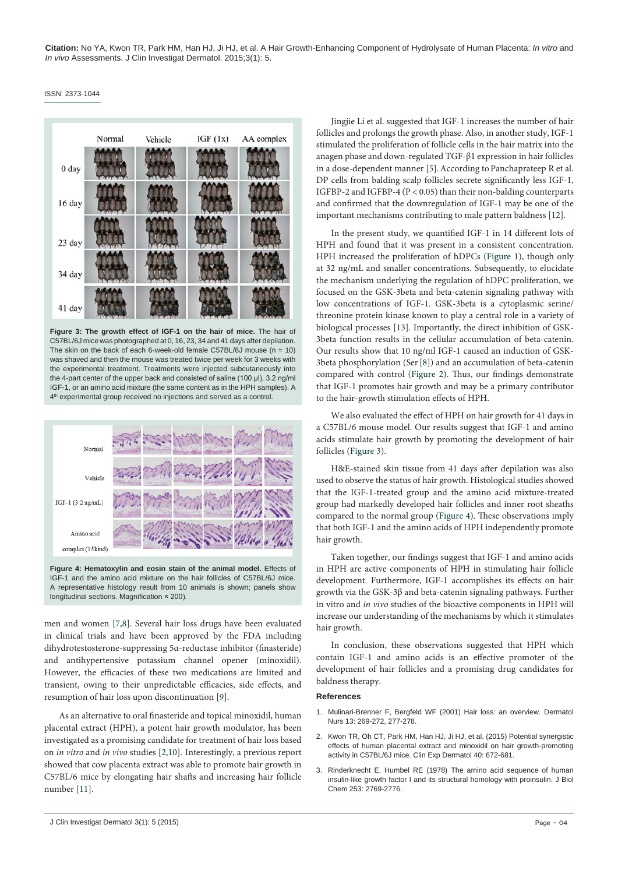#### <span id="page-3-3"></span>ISSN: 2373-1044



**Figure 3: The growth effect of IGF-1 on the hair of mice.** The hair of C57BL/6J mice was photographed at 0, 16, 23, 34 and 41 days after depilation. The skin on the back of each 6-week-old female C57BL/6J mouse  $(n = 10)$ was shaved and then the mouse was treated twice per week for 3 weeks with the experimental treatment. Treatments were injected subcutaneously into the 4-part center of the upper back and consisted of saline (100 μl), 3.2 ng/ml IGF-1, or an amino acid mixture (the same content as in the HPH samples). A 4<sup>th</sup> experimental group received no injections and served as a control.

<span id="page-3-4"></span>

**Figure 4: Hematoxylin and eosin stain of the animal model.** Effects of IGF-1 and the amino acid mixture on the hair follicles of C57BL/6J mice. A representative histology result from 10 animals is shown; panels show longitudinal sections. Magnification × 200).

men and women [\[7,](#page-4-3)[8](#page-4-4)]. Several hair loss drugs have been evaluated in clinical trials and have been approved by the FDA including dihydrotestosterone-suppressing 5α-reductase inhibitor (finasteride) and antihypertensive potassium channel opener (minoxidil). However, the efficacies of these two medications are limited and transient, owing to their unpredictable efficacies, side effects, and resumption of hair loss upon discontinuation [\[9\]](#page-4-5).

As an alternative to oral finasteride and topical minoxidil, human placental extract (HPH), a potent hair growth modulator, has been investigated as a promising candidate for treatment of hair loss based on *in vitro* and *in vivo* studies [[2,](#page-3-1)[10\]](#page-4-6). Interestingly, a previous report showed that cow placenta extract was able to promote hair growth in C57BL/6 mice by elongating hair shafts and increasing hair follicle number [\[11](#page-4-7)].

Jingjie Li et al. suggested that IGF-1 increases the number of hair follicles and prolongs the growth phase. Also, in another study, IGF-1 stimulated the proliferation of follicle cells in the hair matrix into the anagen phase and down-regulated TGF-β1 expression in hair follicles in a dose-dependent manner [\[5\]](#page-4-1). According to Panchaprateep R et al. DP cells from balding scalp follicles secrete significantly less IGF-1, IGFBP-2 and IGFBP-4 (P < 0.05) than their non-balding counterparts and confirmed that the downregulation of IGF-1 may be one of the important mechanisms contributing to male pattern baldness [\[12\]](#page-4-8).

In the present study, we quantified IGF-1 in 14 different lots of HPH and found that it was present in a consistent concentration. HPH increased the proliferation of hDPCs [\(Figure 1\)](#page-2-1), though only at 32 ng/mL and smaller concentrations. Subsequently, to elucidate the mechanism underlying the regulation of hDPC proliferation, we focused on the GSK-3beta and beta-catenin signaling pathway with low concentrations of IGF-1. GSK-3beta is a cytoplasmic serine/ threonine protein kinase known to play a central role in a variety of biological processes [\[13\]](#page-4-9). Importantly, the direct inhibition of GSK-3beta function results in the cellular accumulation of beta-catenin. Our results show that 10 ng/ml IGF-1 caused an induction of GSK-3beta phosphorylation (Ser[\[8\]](#page-4-4)) and an accumulation of beta-catenin compared with control [\(Figure 2](#page-2-2)). Thus, our findings demonstrate that IGF-1 promotes hair growth and may be a primary contributor to the hair-growth stimulation effects of HPH.

We also evaluated the effect of HPH on hair growth for 41 days in a C57BL/6 mouse model. Our results suggest that IGF-1 and amino acids stimulate hair growth by promoting the development of hair follicles [\(Figure 3](#page-3-3)).

H&E-stained skin tissue from 41 days after depilation was also used to observe the status of hair growth. Histological studies showed that the IGF-1-treated group and the amino acid mixture-treated group had markedly developed hair follicles and inner root sheaths compared to the normal group [\(Figure 4](#page-3-4)). These observations imply that both IGF-1 and the amino acids of HPH independently promote hair growth.

Taken together, our findings suggest that IGF-1 and amino acids in HPH are active components of HPH in stimulating hair follicle development. Furthermore, IGF-1 accomplishes its effects on hair growth via the GSK-3β and beta-catenin signaling pathways. Further in vitro and *in vivo* studies of the bioactive components in HPH will increase our understanding of the mechanisms by which it stimulates hair growth.

In conclusion, these observations suggested that HPH which contain IGF-1 and amino acids is an effective promoter of the development of hair follicles and a promising drug candidates for baldness therapy.

#### **References**

- <span id="page-3-0"></span>1. [Mulinari-Brenner F, Bergfeld WF \(2001\) Hair loss: an overview. Dermatol](http://www.ncbi.nlm.nih.gov/pubmed/11917783)  [Nurs 13: 269-272, 277-278.](http://www.ncbi.nlm.nih.gov/pubmed/11917783)
- <span id="page-3-1"></span>2. [Kwon TR, Oh CT, Park HM, Han HJ, Ji HJ, et al. \(2015\) Potential synergistic](http://www.ncbi.nlm.nih.gov/pubmed/25787854)  [effects of human placental extract and minoxidil on hair growth-promoting](http://www.ncbi.nlm.nih.gov/pubmed/25787854)  [activity in C57BL/6J mice. Clin Exp Dermatol 40: 672-681.](http://www.ncbi.nlm.nih.gov/pubmed/25787854)
- <span id="page-3-2"></span>3. [Rinderknecht E, Humbel RE \(1978\) The amino acid sequence of human](http://www.ncbi.nlm.nih.gov/pubmed/632300)  [insulin-like growth factor I and its structural homology with proinsulin. J Biol](http://www.ncbi.nlm.nih.gov/pubmed/632300)  Chem [253: 2769-2776.](http://www.ncbi.nlm.nih.gov/pubmed/632300)